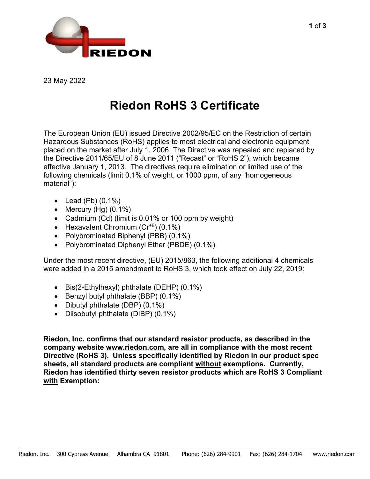

23 May 2022

## **Riedon RoHS 3 Certificate**

The European Union (EU) issued Directive 2002/95/EC on the Restriction of certain Hazardous Substances (RoHS) applies to most electrical and electronic equipment placed on the market after July 1, 2006. The Directive was repealed and replaced by the Directive 2011/65/EU of 8 June 2011 ("Recast" or "RoHS 2"), which became effective January 1, 2013. The directives require elimination or limited use of the following chemicals (limit 0.1% of weight, or 1000 ppm, of any "homogeneous material"):

- Lead (Pb) (0.1%)
- Mercury  $(Hg)$   $(0.1\%)$
- Cadmium (Cd) (limit is 0.01% or 100 ppm by weight)
- Hexavalent Chromium  $(Cr^{+6})$   $(0.1\%)$
- Polybrominated Biphenyl (PBB) (0.1%)
- Polybrominated Diphenyl Ether (PBDE) (0.1%)

Under the most recent directive, (EU) 2015/863, the following additional 4 chemicals were added in a 2015 amendment to RoHS 3, which took effect on July 22, 2019:

- Bis(2-Ethylhexyl) phthalate (DEHP) (0.1%)
- Benzyl butyl phthalate (BBP) (0.1%)
- Dibutyl phthalate (DBP) (0.1%)
- Diisobutyl phthalate (DIBP) (0.1%)

**Riedon, Inc. confirms that our standard resistor products, as described in the company website [www.riedon.com,](http://www.riedon.com/) are all in compliance with the most recent Directive (RoHS 3). Unless specifically identified by Riedon in our product spec sheets, all standard products are compliant without exemptions. Currently, Riedon has identified thirty seven resistor products which are RoHS 3 Compliant with Exemption:**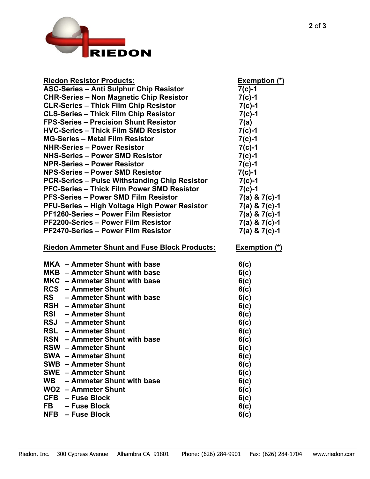

| <b>Riedon Resistor Products:</b>                     | <b>Exemption (*)</b> |
|------------------------------------------------------|----------------------|
| <b>ASC-Series - Anti Sulphur Chip Resistor</b>       | $7(c)-1$             |
| <b>CHR-Series - Non Magnetic Chip Resistor</b>       | $7(c)-1$             |
| <b>CLR-Series - Thick Film Chip Resistor</b>         | $7(c)-1$             |
| <b>CLS-Series - Thick Film Chip Resistor</b>         | $7(c)-1$             |
| <b>FPS-Series - Precision Shunt Resistor</b>         | 7(a)                 |
| <b>HVC-Series - Thick Film SMD Resistor</b>          | $7(c)-1$             |
| <b>MG-Series - Metal Film Resistor</b>               | $7(c)-1$             |
| <b>NHR-Series - Power Resistor</b>                   | $7(c)-1$             |
| <b>NHS-Series - Power SMD Resistor</b>               | $7(c)-1$             |
| <b>NPR-Series - Power Resistor</b>                   | $7(c)-1$             |
| <b>NPS-Series - Power SMD Resistor</b>               | $7(c)-1$             |
| <b>PCR-Series – Pulse Withstanding Chip Resistor</b> | $7(c)-1$             |
| <b>PFC-Series - Thick Film Power SMD Resistor</b>    | $7(c)-1$             |
| <b>PFS-Series - Power SMD Film Resistor</b>          | $7(a)$ & $7(c) - 1$  |
| <b>PFU-Series - High Voltage High Power Resistor</b> | 7(a) & 7(c)-1        |
| <b>PF1260-Series - Power Film Resistor</b>           | 7(a) & 7(c)-1        |
| PF2200-Series - Power Film Resistor                  | $7(a)$ & $7(c) - 1$  |
| <b>PF2470-Series - Power Film Resistor</b>           | 7(a) & 7(c)-1        |
|                                                      |                      |
| <b>Riedon Ammeter Shunt and Fuse Block Products:</b> | <b>Exemption (*)</b> |
|                                                      |                      |
| MKA - Ammeter Shunt with base                        | 6(c)                 |
| MKB - Ammeter Shunt with base                        | 6(c)                 |
| MKC - Ammeter Shunt with base                        | 6(c)                 |
| <b>RCS</b> - Ammeter Shunt                           | 6(c)                 |
| RS - Ammeter Shunt with base                         | 6(c)                 |
| <b>RSH</b> - Ammeter Shunt                           | 6(c)                 |
| <b>RSI</b> - Ammeter Shunt                           | 6(c)                 |
| <b>RSJ</b> - Ammeter Shunt                           | 6(c)                 |
| <b>RSL</b> - Ammeter Shunt                           | 6(c)                 |
| <b>RSN</b><br>- Ammeter Shunt with base              |                      |
| <b>RSW</b> – Ammeter Shunt                           | 6(c)                 |
| <b>SWA - Ammeter Shunt</b>                           | 6(c)                 |
| <b>SWB - Ammeter Shunt</b>                           | 6(c)                 |
| <b>SWE</b> - Ammeter Shunt                           | 6(c)                 |
|                                                      | 6(c)                 |
| WB - Ammeter Shunt with base                         | 6(c)                 |
| <b>WO2</b> - Ammeter Shunt                           | 6(c)                 |
| CFB - Fuse Block                                     | 6(c)                 |
| FB<br>- Fuse Block<br>- Fuse Block<br><b>NFB</b>     | 6(c)<br>6(c)         |